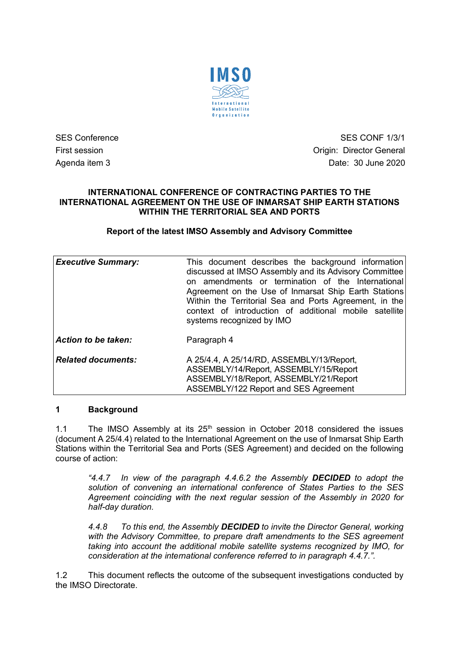

SES Conference SES CONF 1/3/1 First session **Contract Session** Critics of Contract Act of Critics Contract Origin: Director General Agenda item 3 Date: 30 June 2020

## **INTERNATIONAL CONFERENCE OF CONTRACTING PARTIES TO THE INTERNATIONAL AGREEMENT ON THE USE OF INMARSAT SHIP EARTH STATIONS WITHIN THE TERRITORIAL SEA AND PORTS**

## **Report of the latest IMSO Assembly and Advisory Committee**

| <b>Executive Summary:</b> | This document describes the background information<br>discussed at IMSO Assembly and its Advisory Committee<br>on amendments or termination of the International<br>Agreement on the Use of Inmarsat Ship Earth Stations<br>Within the Territorial Sea and Ports Agreement, in the<br>context of introduction of additional mobile satellite<br>systems recognized by IMO |
|---------------------------|---------------------------------------------------------------------------------------------------------------------------------------------------------------------------------------------------------------------------------------------------------------------------------------------------------------------------------------------------------------------------|
| Action to be taken:       | Paragraph 4                                                                                                                                                                                                                                                                                                                                                               |
| Related documents:        | A 25/4.4, A 25/14/RD, ASSEMBLY/13/Report,<br>ASSEMBLY/14/Report, ASSEMBLY/15/Report<br>ASSEMBLY/18/Report, ASSEMBLY/21/Report<br>ASSEMBLY/122 Report and SES Agreement                                                                                                                                                                                                    |

## **1 Background**

1.1 The IMSO Assembly at its  $25<sup>th</sup>$  session in October 2018 considered the issues (document A 25/4.4) related to the International Agreement on the use of Inmarsat Ship Earth Stations within the Territorial Sea and Ports (SES Agreement) and decided on the following course of action:

*"4.4.7 In view of the paragraph 4.4.6.2 the Assembly DECIDED to adopt the solution of convening an international conference of States Parties to the SES Agreement coinciding with the next regular session of the Assembly in 2020 for half-day duration.*

*4.4.8 To this end, the Assembly DECIDED to invite the Director General, working with the Advisory Committee, to prepare draft amendments to the SES agreement taking into account the additional mobile satellite systems recognized by IMO, for consideration at the international conference referred to in paragraph 4.4.7.".*

1.2 This document reflects the outcome of the subsequent investigations conducted by the IMSO Directorate.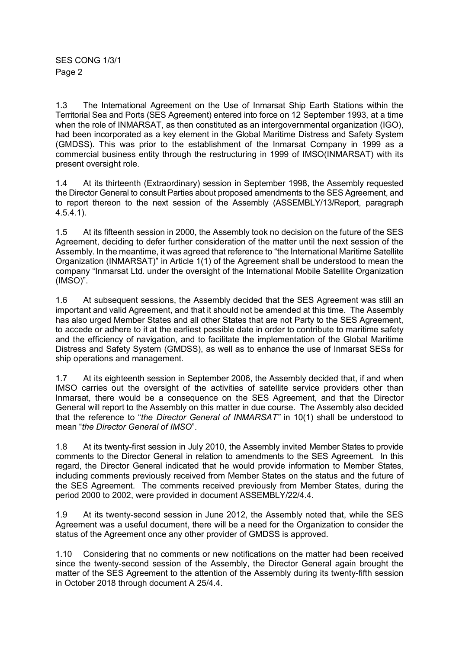1.3 The International Agreement on the Use of Inmarsat Ship Earth Stations within the Territorial Sea and Ports (SES Agreement) entered into force on 12 September 1993, at a time when the role of INMARSAT, as then constituted as an intergovernmental organization (IGO), had been incorporated as a key element in the Global Maritime Distress and Safety System (GMDSS). This was prior to the establishment of the Inmarsat Company in 1999 as a commercial business entity through the restructuring in 1999 of IMSO(INMARSAT) with its present oversight role.

1.4 At its thirteenth (Extraordinary) session in September 1998, the Assembly requested the Director General to consult Parties about proposed amendments to the SES Agreement, and to report thereon to the next session of the Assembly (ASSEMBLY/13/Report, paragraph 4.5.4.1).

1.5 At its fifteenth session in 2000, the Assembly took no decision on the future of the SES Agreement, deciding to defer further consideration of the matter until the next session of the Assembly. In the meantime, it was agreed that reference to "the International Maritime Satellite Organization (INMARSAT)" in Article 1(1) of the Agreement shall be understood to mean the company "Inmarsat Ltd. under the oversight of the International Mobile Satellite Organization (IMSO)".

1.6 At subsequent sessions, the Assembly decided that the SES Agreement was still an important and valid Agreement, and that it should not be amended at this time. The Assembly has also urged Member States and all other States that are not Party to the SES Agreement, to accede or adhere to it at the earliest possible date in order to contribute to maritime safety and the efficiency of navigation, and to facilitate the implementation of the Global Maritime Distress and Safety System (GMDSS), as well as to enhance the use of Inmarsat SESs for ship operations and management.

1.7 At its eighteenth session in September 2006, the Assembly decided that, if and when IMSO carries out the oversight of the activities of satellite service providers other than Inmarsat, there would be a consequence on the SES Agreement, and that the Director General will report to the Assembly on this matter in due course. The Assembly also decided that the reference to "*the Director General of INMARSAT"* in 10(1) shall be understood to mean "*the Director General of IMSO*".

1.8 At its twenty-first session in July 2010, the Assembly invited Member States to provide comments to the Director General in relation to amendments to the SES Agreement. In this regard, the Director General indicated that he would provide information to Member States, including comments previously received from Member States on the status and the future of the SES Agreement. The comments received previously from Member States, during the period 2000 to 2002, were provided in document ASSEMBLY/22/4.4.

1.9 At its twenty-second session in June 2012, the Assembly noted that, while the SES Agreement was a useful document, there will be a need for the Organization to consider the status of the Agreement once any other provider of GMDSS is approved.

1.10 Considering that no comments or new notifications on the matter had been received since the twenty-second session of the Assembly, the Director General again brought the matter of the SES Agreement to the attention of the Assembly during its twenty-fifth session in October 2018 through document A 25/4.4.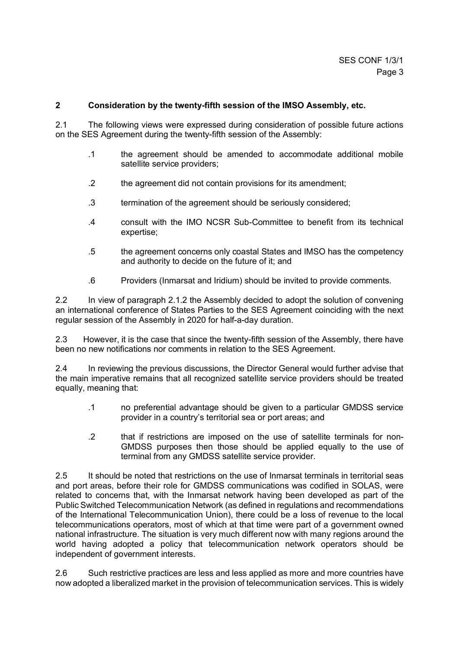## **2 Consideration by the twenty-fifth session of the IMSO Assembly, etc.**

2.1 The following views were expressed during consideration of possible future actions on the SES Agreement during the twenty-fifth session of the Assembly:

- .1 the agreement should be amended to accommodate additional mobile satellite service providers;
- .2 the agreement did not contain provisions for its amendment;
- .3 termination of the agreement should be seriously considered;
- .4 consult with the IMO NCSR Sub-Committee to benefit from its technical expertise;
- .5 the agreement concerns only coastal States and IMSO has the competency and authority to decide on the future of it; and
- .6 Providers (Inmarsat and Iridium) should be invited to provide comments.

2.2 In view of paragraph 2.1.2 the Assembly decided to adopt the solution of convening an international conference of States Parties to the SES Agreement coinciding with the next regular session of the Assembly in 2020 for half-a-day duration.

2.3 However, it is the case that since the twenty-fifth session of the Assembly, there have been no new notifications nor comments in relation to the SES Agreement.

2.4 In reviewing the previous discussions, the Director General would further advise that the main imperative remains that all recognized satellite service providers should be treated equally, meaning that:

- .1 no preferential advantage should be given to a particular GMDSS service provider in a country's territorial sea or port areas; and
- .2 that if restrictions are imposed on the use of satellite terminals for non-GMDSS purposes then those should be applied equally to the use of terminal from any GMDSS satellite service provider.

2.5 It should be noted that restrictions on the use of Inmarsat terminals in territorial seas and port areas, before their role for GMDSS communications was codified in SOLAS, were related to concerns that, with the Inmarsat network having been developed as part of the Public Switched Telecommunication Network (as defined in regulations and recommendations of the International Telecommunication Union), there could be a loss of revenue to the local telecommunications operators, most of which at that time were part of a government owned national infrastructure. The situation is very much different now with many regions around the world having adopted a policy that telecommunication network operators should be independent of government interests.

2.6 Such restrictive practices are less and less applied as more and more countries have now adopted a liberalized market in the provision of telecommunication services. This is widely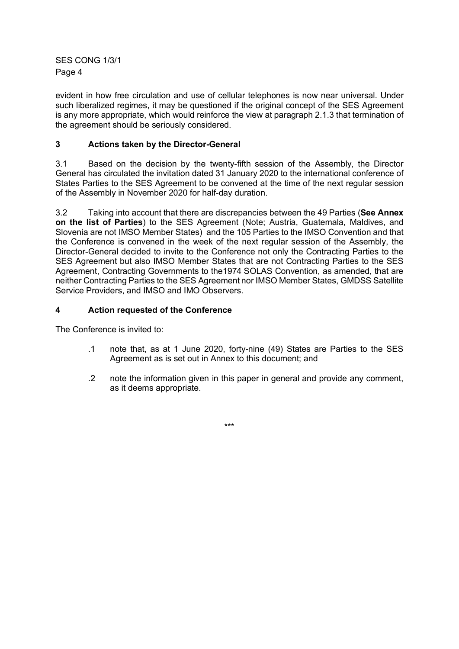SES CONG 1/3/1 Page 4

evident in how free circulation and use of cellular telephones is now near universal. Under such liberalized regimes, it may be questioned if the original concept of the SES Agreement is any more appropriate, which would reinforce the view at paragraph 2.1.3 that termination of the agreement should be seriously considered.

# **3 Actions taken by the Director-General**

3.1 Based on the decision by the twenty-fifth session of the Assembly, the Director General has circulated the invitation dated 31 January 2020 to the international conference of States Parties to the SES Agreement to be convened at the time of the next regular session of the Assembly in November 2020 for half-day duration.

3.2 Taking into account that there are discrepancies between the 49 Parties (**See Annex on the list of Parties**) to the SES Agreement (Note; Austria, Guatemala, Maldives, and Slovenia are not IMSO Member States) and the 105 Parties to the IMSO Convention and that the Conference is convened in the week of the next regular session of the Assembly, the Director-General decided to invite to the Conference not only the Contracting Parties to the SES Agreement but also IMSO Member States that are not Contracting Parties to the SES Agreement, Contracting Governments to the1974 SOLAS Convention, as amended, that are neither Contracting Parties to the SES Agreement nor IMSO Member States, GMDSS Satellite Service Providers, and IMSO and IMO Observers.

## **4 Action requested of the Conference**

The Conference is invited to:

- .1 note that, as at 1 June 2020, forty-nine (49) States are Parties to the SES Agreement as is set out in Annex to this document; and
- .2 note the information given in this paper in general and provide any comment, as it deems appropriate.

\*\*\*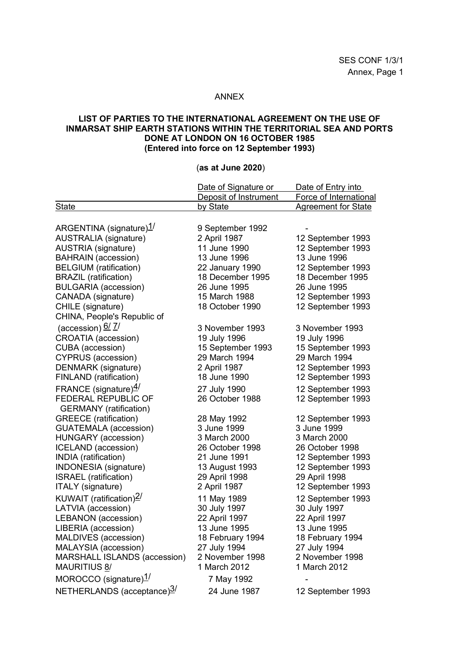## ANNEX

#### **LIST OF PARTIES TO THE INTERNATIONAL AGREEMENT ON THE USE OF INMARSAT SHIP EARTH STATIONS WITHIN THE TERRITORIAL SEA AND PORTS DONE AT LONDON ON 16 OCTOBER 1985 (Entered into force on 12 September 1993)**

# (**as at June 2020**)

|                                        | Date of Signature or  | Date of Entry into         |
|----------------------------------------|-----------------------|----------------------------|
|                                        | Deposit of Instrument | Force of International     |
| <b>State</b>                           | by State              | <b>Agreement for State</b> |
|                                        |                       |                            |
| ARGENTINA (signature) <sup>1/</sup>    | 9 September 1992      |                            |
| <b>AUSTRALIA</b> (signature)           | 2 April 1987          | 12 September 1993          |
| <b>AUSTRIA</b> (signature)             | 11 June 1990          | 12 September 1993          |
| <b>BAHRAIN</b> (accession)             | 13 June 1996          | 13 June 1996               |
| <b>BELGIUM</b> (ratification)          | 22 January 1990       | 12 September 1993          |
| <b>BRAZIL</b> (ratification)           | 18 December 1995      | 18 December 1995           |
| <b>BULGARIA</b> (accession)            | 26 June 1995          | 26 June 1995               |
| CANADA (signature)                     | 15 March 1988         | 12 September 1993          |
| CHILE (signature)                      | 18 October 1990       | 12 September 1993          |
| CHINA, People's Republic of            |                       |                            |
| (accession) $6/7/$                     | 3 November 1993       | 3 November 1993            |
| <b>CROATIA</b> (accession)             | 19 July 1996          | 19 July 1996               |
| CUBA (accession)                       | 15 September 1993     | 15 September 1993          |
| <b>CYPRUS</b> (accession)              | 29 March 1994         | 29 March 1994              |
| DENMARK (signature)                    | 2 April 1987          | 12 September 1993          |
| FINLAND (ratification)                 | 18 June 1990          | 12 September 1993          |
| FRANCE (signature) $\frac{4}{3}$       | 27 July 1990          | 12 September 1993          |
| <b>FEDERAL REPUBLIC OF</b>             | 26 October 1988       | 12 September 1993          |
| <b>GERMANY</b> (ratification)          |                       |                            |
| <b>GREECE</b> (ratification)           | 28 May 1992           | 12 September 1993          |
| <b>GUATEMALA</b> (accession)           | 3 June 1999           | 3 June 1999                |
| <b>HUNGARY</b> (accession)             | 3 March 2000          | 3 March 2000               |
| ICELAND (accession)                    | 26 October 1998       | 26 October 1998            |
| INDIA (ratification)                   | 21 June 1991          | 12 September 1993          |
| INDONESIA (signature)                  | 13 August 1993        | 12 September 1993          |
| <b>ISRAEL</b> (ratification)           | 29 April 1998         | 29 April 1998              |
| <b>ITALY</b> (signature)               | 2 April 1987          | 12 September 1993          |
| KUWAIT (ratification) $\frac{2}{3}$    | 11 May 1989           | 12 September 1993          |
| LATVIA (accession)                     | 30 July 1997          | 30 July 1997               |
| LEBANON (accession)                    | 22 April 1997         | 22 April 1997              |
| LIBERIA (accession)                    | 13 June 1995          | 13 June 1995               |
| MALDIVES (accession)                   | 18 February 1994      | 18 February 1994           |
| MALAYSIA (accession)                   | 27 July 1994          | 27 July 1994               |
| <b>MARSHALL ISLANDS (accession)</b>    | 2 November 1998       | 2 November 1998            |
| <b>MAURITIUS 8/</b>                    | 1 March 2012          | 1 March 2012               |
| MOROCCO (signature) <sup>1/</sup>      | 7 May 1992            |                            |
| NETHERLANDS (acceptance) <sup>3/</sup> | 24 June 1987          | 12 September 1993          |